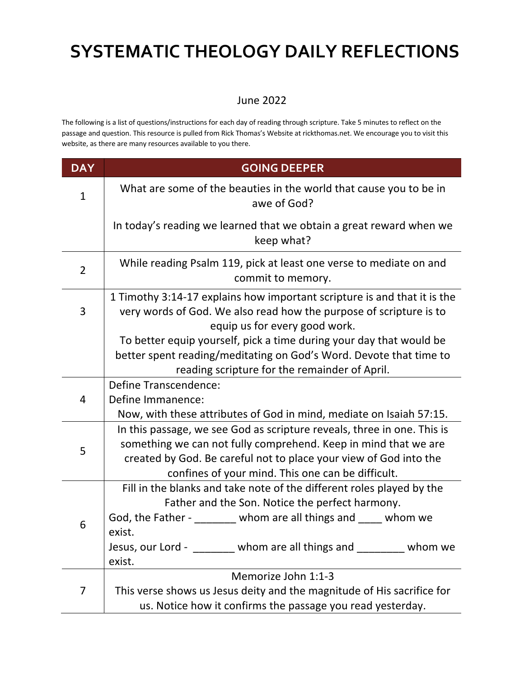#### June 2022

The following is a list of questions/instructions for each day of reading through scripture. Take 5 minutes to reflect on the passage and question. This resource is pulled from Rick Thomas's Website at rickthomas.net. We encourage you to visit this website, as there are many resources available to you there.

| <b>DAY</b>     | <b>GOING DEEPER</b>                                                                                                                                                                                                                                                   |
|----------------|-----------------------------------------------------------------------------------------------------------------------------------------------------------------------------------------------------------------------------------------------------------------------|
| $\mathbf{1}$   | What are some of the beauties in the world that cause you to be in<br>awe of God?                                                                                                                                                                                     |
|                | In today's reading we learned that we obtain a great reward when we<br>keep what?                                                                                                                                                                                     |
| $\overline{2}$ | While reading Psalm 119, pick at least one verse to mediate on and<br>commit to memory.                                                                                                                                                                               |
| 3              | 1 Timothy 3:14-17 explains how important scripture is and that it is the<br>very words of God. We also read how the purpose of scripture is to<br>equip us for every good work.                                                                                       |
|                | To better equip yourself, pick a time during your day that would be<br>better spent reading/meditating on God's Word. Devote that time to<br>reading scripture for the remainder of April.                                                                            |
| 4              | <b>Define Transcendence:</b><br>Define Immanence:<br>Now, with these attributes of God in mind, mediate on Isaiah 57:15.                                                                                                                                              |
| 5              | In this passage, we see God as scripture reveals, three in one. This is<br>something we can not fully comprehend. Keep in mind that we are<br>created by God. Be careful not to place your view of God into the<br>confines of your mind. This one can be difficult.  |
| 6              | Fill in the blanks and take note of the different roles played by the<br>Father and the Son. Notice the perfect harmony.<br>God, the Father - whom are all things and whom we<br>exist.<br>Jesus, our Lord - The Union whom are all things and The Union we<br>exist. |
| 7              | Memorize John 1:1-3<br>This verse shows us Jesus deity and the magnitude of His sacrifice for<br>us. Notice how it confirms the passage you read yesterday.                                                                                                           |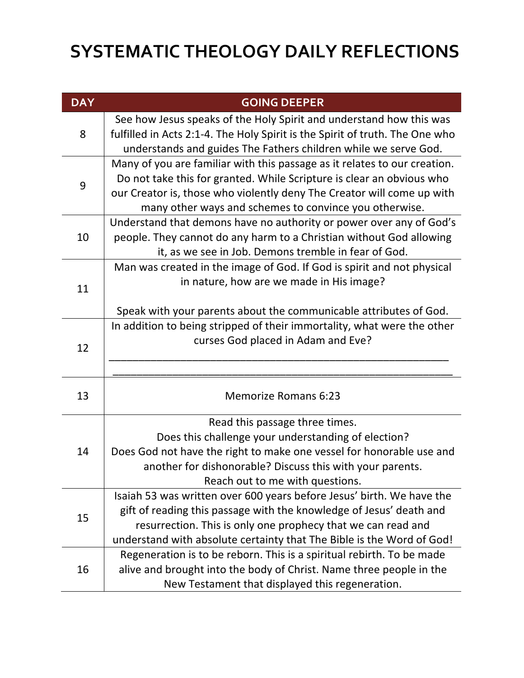| <b>DAY</b> | <b>GOING DEEPER</b>                                                          |
|------------|------------------------------------------------------------------------------|
| 8          | See how Jesus speaks of the Holy Spirit and understand how this was          |
|            | fulfilled in Acts 2:1-4. The Holy Spirit is the Spirit of truth. The One who |
|            | understands and guides The Fathers children while we serve God.              |
| 9          | Many of you are familiar with this passage as it relates to our creation.    |
|            | Do not take this for granted. While Scripture is clear an obvious who        |
|            | our Creator is, those who violently deny The Creator will come up with       |
|            | many other ways and schemes to convince you otherwise.                       |
| 10         | Understand that demons have no authority or power over any of God's          |
|            | people. They cannot do any harm to a Christian without God allowing          |
|            | it, as we see in Job. Demons tremble in fear of God.                         |
|            | Man was created in the image of God. If God is spirit and not physical       |
| 11         | in nature, how are we made in His image?                                     |
|            |                                                                              |
|            | Speak with your parents about the communicable attributes of God.            |
| 12         | In addition to being stripped of their immortality, what were the other      |
|            | curses God placed in Adam and Eve?                                           |
|            |                                                                              |
|            |                                                                              |
| 13         | <b>Memorize Romans 6:23</b>                                                  |
|            |                                                                              |
|            | Read this passage three times.                                               |
|            | Does this challenge your understanding of election?                          |
| 14         | Does God not have the right to make one vessel for honorable use and         |
|            | another for dishonorable? Discuss this with your parents.                    |
|            | Reach out to me with questions.                                              |
| 15         | Isaiah 53 was written over 600 years before Jesus' birth. We have the        |
|            | gift of reading this passage with the knowledge of Jesus' death and          |
|            | resurrection. This is only one prophecy that we can read and                 |
|            | understand with absolute certainty that The Bible is the Word of God!        |
| 16         | Regeneration is to be reborn. This is a spiritual rebirth. To be made        |
|            | alive and brought into the body of Christ. Name three people in the          |
|            | New Testament that displayed this regeneration.                              |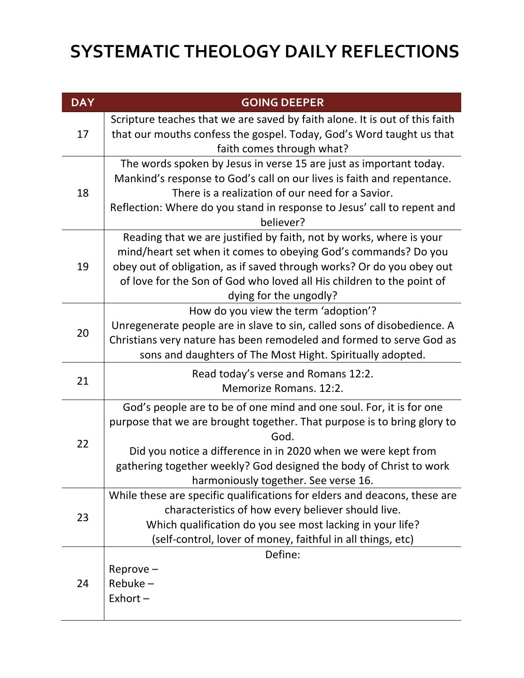| <b>DAY</b> | <b>GOING DEEPER</b>                                                                                                                                                                                                                                                                                                                   |
|------------|---------------------------------------------------------------------------------------------------------------------------------------------------------------------------------------------------------------------------------------------------------------------------------------------------------------------------------------|
| 17         | Scripture teaches that we are saved by faith alone. It is out of this faith<br>that our mouths confess the gospel. Today, God's Word taught us that<br>faith comes through what?                                                                                                                                                      |
| 18         | The words spoken by Jesus in verse 15 are just as important today.<br>Mankind's response to God's call on our lives is faith and repentance.<br>There is a realization of our need for a Savior.<br>Reflection: Where do you stand in response to Jesus' call to repent and<br>believer?                                              |
| 19         | Reading that we are justified by faith, not by works, where is your<br>mind/heart set when it comes to obeying God's commands? Do you<br>obey out of obligation, as if saved through works? Or do you obey out<br>of love for the Son of God who loved all His children to the point of<br>dying for the ungodly?                     |
| 20         | How do you view the term 'adoption'?<br>Unregenerate people are in slave to sin, called sons of disobedience. A<br>Christians very nature has been remodeled and formed to serve God as<br>sons and daughters of The Most Hight. Spiritually adopted.                                                                                 |
| 21         | Read today's verse and Romans 12:2.<br>Memorize Romans. 12:2.                                                                                                                                                                                                                                                                         |
| 22         | God's people are to be of one mind and one soul. For, it is for one<br>purpose that we are brought together. That purpose is to bring glory to<br>God.<br>Did you notice a difference in in 2020 when we were kept from<br>gathering together weekly? God designed the body of Christ to work<br>harmoniously together. See verse 16. |
| 23         | While these are specific qualifications for elders and deacons, these are<br>characteristics of how every believer should live.<br>Which qualification do you see most lacking in your life?<br>(self-control, lover of money, faithful in all things, etc)                                                                           |
| 24         | Define:<br>Reprove-<br>$Rebuke -$<br>$Exhort -$                                                                                                                                                                                                                                                                                       |